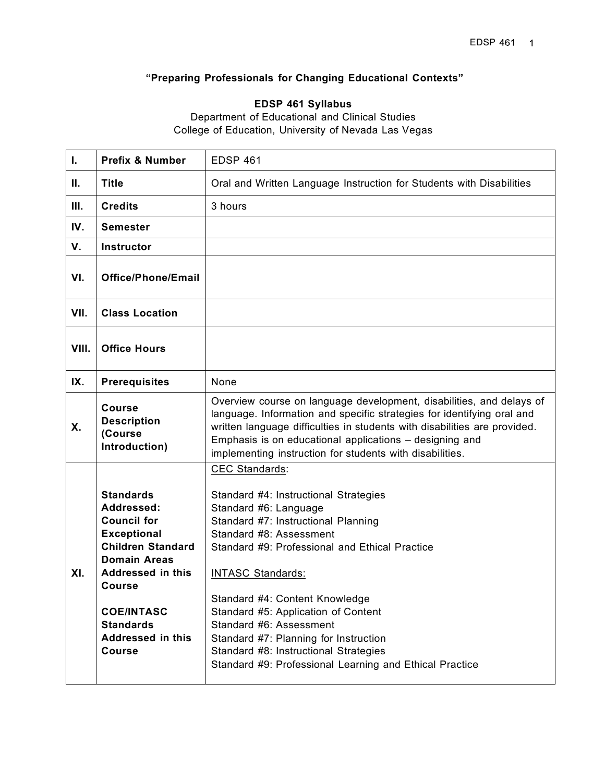# **"Preparing Professionals for Changing Educational Contexts"**

# **EDSP 461 Syllabus**

Department of Educational and Clinical Studies College of Education, University of Nevada Las Vegas

| Τ.    | <b>Prefix &amp; Number</b>                                                                                                                                                                                                                                | <b>EDSP 461</b>                                                                                                                                                                                                                                                                                                                                                                                                                                                                          |  |  |
|-------|-----------------------------------------------------------------------------------------------------------------------------------------------------------------------------------------------------------------------------------------------------------|------------------------------------------------------------------------------------------------------------------------------------------------------------------------------------------------------------------------------------------------------------------------------------------------------------------------------------------------------------------------------------------------------------------------------------------------------------------------------------------|--|--|
| H.    | <b>Title</b>                                                                                                                                                                                                                                              | Oral and Written Language Instruction for Students with Disabilities                                                                                                                                                                                                                                                                                                                                                                                                                     |  |  |
| Ш.    | <b>Credits</b>                                                                                                                                                                                                                                            | 3 hours                                                                                                                                                                                                                                                                                                                                                                                                                                                                                  |  |  |
| IV.   | <b>Semester</b>                                                                                                                                                                                                                                           |                                                                                                                                                                                                                                                                                                                                                                                                                                                                                          |  |  |
| V.    | <b>Instructor</b>                                                                                                                                                                                                                                         |                                                                                                                                                                                                                                                                                                                                                                                                                                                                                          |  |  |
| VI.   | <b>Office/Phone/Email</b>                                                                                                                                                                                                                                 |                                                                                                                                                                                                                                                                                                                                                                                                                                                                                          |  |  |
| VII.  | <b>Class Location</b>                                                                                                                                                                                                                                     |                                                                                                                                                                                                                                                                                                                                                                                                                                                                                          |  |  |
| VIII. | <b>Office Hours</b>                                                                                                                                                                                                                                       |                                                                                                                                                                                                                                                                                                                                                                                                                                                                                          |  |  |
| IX.   | <b>Prerequisites</b>                                                                                                                                                                                                                                      | None                                                                                                                                                                                                                                                                                                                                                                                                                                                                                     |  |  |
| Χ.    | <b>Course</b><br><b>Description</b><br>(Course<br>Introduction)                                                                                                                                                                                           | Overview course on language development, disabilities, and delays of<br>language. Information and specific strategies for identifying oral and<br>written language difficulties in students with disabilities are provided.<br>Emphasis is on educational applications - designing and<br>implementing instruction for students with disabilities.                                                                                                                                       |  |  |
| XI.   | <b>Standards</b><br>Addressed:<br><b>Council for</b><br><b>Exceptional</b><br><b>Children Standard</b><br><b>Domain Areas</b><br>Addressed in this<br><b>Course</b><br><b>COE/INTASC</b><br><b>Standards</b><br><b>Addressed in this</b><br><b>Course</b> | <b>CEC Standards:</b><br>Standard #4: Instructional Strategies<br>Standard #6: Language<br>Standard #7: Instructional Planning<br>Standard #8: Assessment<br>Standard #9: Professional and Ethical Practice<br><b>INTASC Standards:</b><br>Standard #4: Content Knowledge<br>Standard #5: Application of Content<br>Standard #6: Assessment<br>Standard #7: Planning for Instruction<br>Standard #8: Instructional Strategies<br>Standard #9: Professional Learning and Ethical Practice |  |  |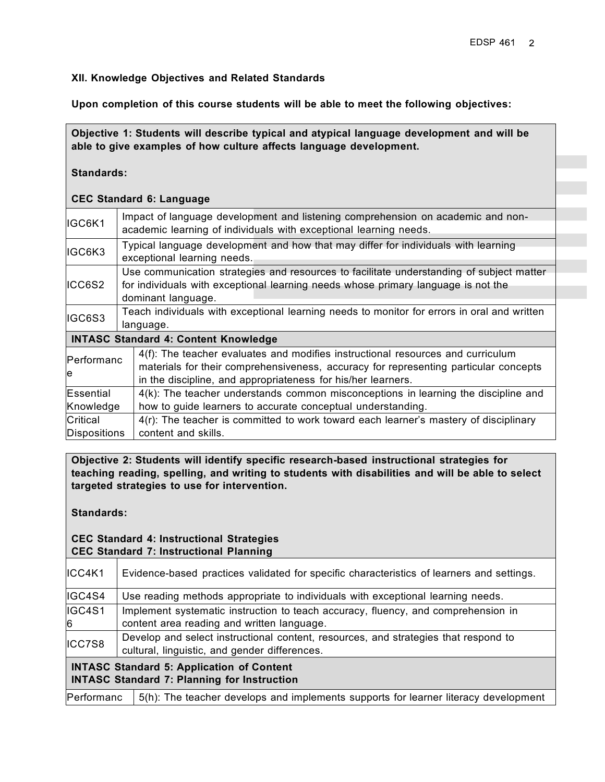#### **XII. Knowledge Objectives and Related Standards**

**Upon completion of this course students will be able to meet the following objectives:**

**Objective 1: Students will describe typical and atypical language development and will be able to give examples of how culture affects language development.**

**Standards:**

#### **CEC Standard 6: Language**

|                          | <b>CEC Standard 6: Language</b>                                                                                                                                                                                                         |  |  |
|--------------------------|-----------------------------------------------------------------------------------------------------------------------------------------------------------------------------------------------------------------------------------------|--|--|
| IGC6K1                   | Impact of language development and listening comprehension on academic and non-<br>academic learning of individuals with exceptional learning needs.                                                                                    |  |  |
| IGC6K3                   | Typical language development and how that may differ for individuals with learning<br>exceptional learning needs.                                                                                                                       |  |  |
| ICC6S2                   | Use communication strategies and resources to facilitate understanding of subject matter<br>for individuals with exceptional learning needs whose primary language is not the<br>dominant language.                                     |  |  |
| IGC6S3                   | Teach individuals with exceptional learning needs to monitor for errors in oral and written<br>language.                                                                                                                                |  |  |
|                          | <b>INTASC Standard 4: Content Knowledge</b>                                                                                                                                                                                             |  |  |
| Performanc<br>le         | 4(f): The teacher evaluates and modifies instructional resources and curriculum<br>materials for their comprehensiveness, accuracy for representing particular concepts<br>in the discipline, and appropriateness for his/her learners. |  |  |
| Essential                | 4(k): The teacher understands common misconceptions in learning the discipline and                                                                                                                                                      |  |  |
| Knowledge                | how to guide learners to accurate conceptual understanding.                                                                                                                                                                             |  |  |
| Critical<br>Dispositions | 4(r): The teacher is committed to work toward each learner's mastery of disciplinary<br>content and skills.                                                                                                                             |  |  |

**Objective 2: Students will identify specific research-based instructional strategies for teaching reading, spelling, and writing to students with disabilities and will be able to select targeted strategies to use for intervention.**

**Standards:**

#### **CEC Standard 4: Instructional Strategies CEC Standard 7: Instructional Planning**

| ICC4K1                                                                                                 | Evidence-based practices validated for specific characteristics of learners and settings.                                            |  |
|--------------------------------------------------------------------------------------------------------|--------------------------------------------------------------------------------------------------------------------------------------|--|
| IGC4S4                                                                                                 | Use reading methods appropriate to individuals with exceptional learning needs.                                                      |  |
| IGC4S1<br>6                                                                                            | Implement systematic instruction to teach accuracy, fluency, and comprehension in<br>content area reading and written language.      |  |
| ICC7S8                                                                                                 | Develop and select instructional content, resources, and strategies that respond to<br>cultural, linguistic, and gender differences. |  |
| <b>INTASC Standard 5: Application of Content</b><br><b>INTASC Standard 7: Planning for Instruction</b> |                                                                                                                                      |  |
| Performanc                                                                                             | 5(h): The teacher develops and implements supports for learner literacy development                                                  |  |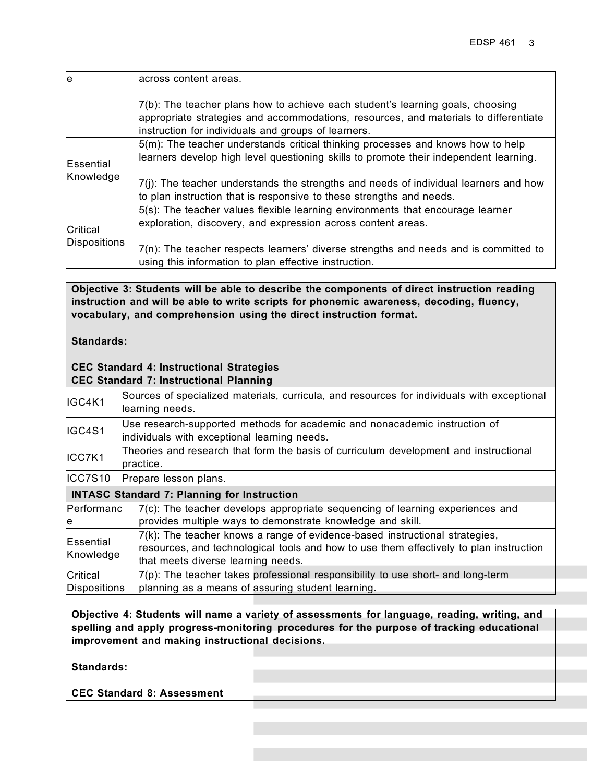| le                     | across content areas.                                                                                                                                                                                                         |
|------------------------|-------------------------------------------------------------------------------------------------------------------------------------------------------------------------------------------------------------------------------|
|                        | 7(b): The teacher plans how to achieve each student's learning goals, choosing<br>appropriate strategies and accommodations, resources, and materials to differentiate<br>instruction for individuals and groups of learners. |
| Essential<br>Knowledge | 5(m): The teacher understands critical thinking processes and knows how to help<br>learners develop high level questioning skills to promote their independent learning.                                                      |
|                        | $7(i)$ : The teacher understands the strengths and needs of individual learners and how<br>to plan instruction that is responsive to these strengths and needs.                                                               |
| Critical               | 5(s): The teacher values flexible learning environments that encourage learner<br>exploration, discovery, and expression across content areas.                                                                                |
| Dispositions           | $7(n)$ : The teacher respects learners' diverse strengths and needs and is committed to<br>using this information to plan effective instruction.                                                                              |

**Objective 3: Students will be able to describe the components of direct instruction reading instruction and will be able to write scripts for phonemic awareness, decoding, fluency, vocabulary, and comprehension using the direct instruction format.**

**Standards:**

#### **CEC Standard 4: Instructional Strategies CEC Standard 7: Instructional Planning**

| IGC4K1                                             | Sources of specialized materials, curricula, and resources for individuals with exceptional<br>learning needs.                                                                                              |  |  |
|----------------------------------------------------|-------------------------------------------------------------------------------------------------------------------------------------------------------------------------------------------------------------|--|--|
| IGC4S1                                             | Use research-supported methods for academic and nonacademic instruction of<br>individuals with exceptional learning needs.                                                                                  |  |  |
| ICC7K1                                             | Theories and research that form the basis of curriculum development and instructional<br>practice.                                                                                                          |  |  |
| ICC7S10                                            | Prepare lesson plans.                                                                                                                                                                                       |  |  |
| <b>INTASC Standard 7: Planning for Instruction</b> |                                                                                                                                                                                                             |  |  |
| Performanc<br>e                                    | $7(c)$ : The teacher develops appropriate sequencing of learning experiences and<br>provides multiple ways to demonstrate knowledge and skill.                                                              |  |  |
| Essential<br>Knowledge                             | 7(k): The teacher knows a range of evidence-based instructional strategies,<br>resources, and technological tools and how to use them effectively to plan instruction<br>that meets diverse learning needs. |  |  |
| Critical                                           | $7(p)$ : The teacher takes professional responsibility to use short- and long-term                                                                                                                          |  |  |
| Dispositions                                       | planning as a means of assuring student learning.                                                                                                                                                           |  |  |

**Objective 4: Students will name a variety of assessments for language, reading, writing, and spelling and apply progress-monitoring procedures for the purpose of tracking educational improvement and making instructional decisions.**

**Standards:**

**CEC Standard 8: Assessment**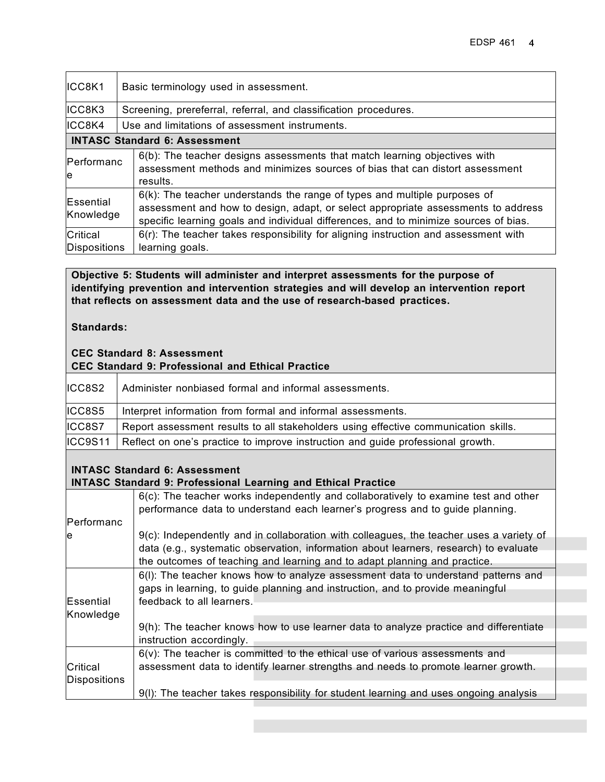| ICC8K1                               | Basic terminology used in assessment.                                                                                                                                                                                                                     |  |  |  |
|--------------------------------------|-----------------------------------------------------------------------------------------------------------------------------------------------------------------------------------------------------------------------------------------------------------|--|--|--|
| ICC8K3                               | Screening, prereferral, referral, and classification procedures.                                                                                                                                                                                          |  |  |  |
| ICC8K4                               | Use and limitations of assessment instruments.                                                                                                                                                                                                            |  |  |  |
| <b>INTASC Standard 6: Assessment</b> |                                                                                                                                                                                                                                                           |  |  |  |
| Performanc<br>le                     | 6(b): The teacher designs assessments that match learning objectives with<br>assessment methods and minimizes sources of bias that can distort assessment<br>results.                                                                                     |  |  |  |
| Essential<br>Knowledge               | $6(k)$ : The teacher understands the range of types and multiple purposes of<br>assessment and how to design, adapt, or select appropriate assessments to address<br>specific learning goals and individual differences, and to minimize sources of bias. |  |  |  |
| Critical<br>Dispositions             | 6(r): The teacher takes responsibility for aligning instruction and assessment with<br>learning goals.                                                                                                                                                    |  |  |  |

**Objective 5: Students will administer and interpret assessments for the purpose of identifying prevention and intervention strategies and will develop an intervention report that reflects on assessment data and the use of research-based practices.**

**Standards:**

#### **CEC Standard 8: Assessment CEC Standard 9: Professional and Ethical Practice**

|        | Y YANIIWAI W YI I IVIVYYIVIIMI MIIM MAIIIVMI I IMVAIVY                                  |  |  |
|--------|-----------------------------------------------------------------------------------------|--|--|
| ICC8S2 | Administer nonbiased formal and informal assessments.                                   |  |  |
| ICC8S5 | Interpret information from formal and informal assessments.                             |  |  |
| ICC8S7 | Report assessment results to all stakeholders using effective communication skills.     |  |  |
|        | ICC9S11 Reflect on one's practice to improve instruction and guide professional growth. |  |  |

# **INTASC Standard 6: Assessment**

# **INTASC Standard 9: Professional Learning and Ethical Practice**

|              | $6(c)$ : The teacher works independently and collaboratively to examine test and other                                                                                                                                                                        |
|--------------|---------------------------------------------------------------------------------------------------------------------------------------------------------------------------------------------------------------------------------------------------------------|
| Performanc   | performance data to understand each learner's progress and to guide planning.                                                                                                                                                                                 |
| le           | 9(c): Independently and in collaboration with colleagues, the teacher uses a variety of<br>data (e.g., systematic observation, information about learners, research) to evaluate<br>the outcomes of teaching and learning and to adapt planning and practice. |
| Essential    | 6(I): The teacher knows how to analyze assessment data to understand patterns and<br>gaps in learning, to guide planning and instruction, and to provide meaningful<br>feedback to all learners.                                                              |
| Knowledge    | 9(h): The teacher knows how to use learner data to analyze practice and differentiate<br>instruction accordingly.                                                                                                                                             |
| Critical     | $6(v)$ : The teacher is committed to the ethical use of various assessments and<br>assessment data to identify learner strengths and needs to promote learner growth.                                                                                         |
| Dispositions | 9(I): The teacher takes responsibility for student learning and uses ongoing analysis                                                                                                                                                                         |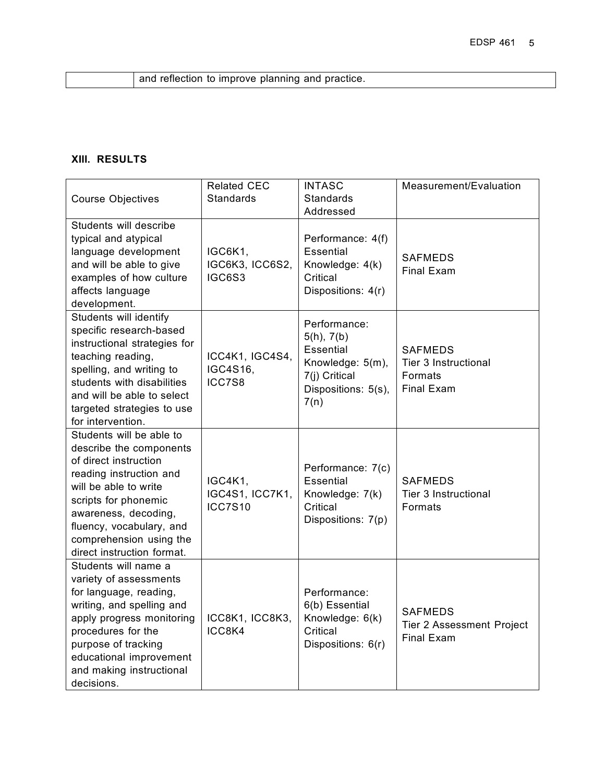and reflection to improve planning and practice.

# **XIII. RESULTS**

| <b>Course Objectives</b>                                                                                                                                                                                                                                              | <b>Related CEC</b><br>Standards              | <b>INTASC</b><br><b>Standards</b><br>Addressed                                                              | Measurement/Evaluation                                                 |
|-----------------------------------------------------------------------------------------------------------------------------------------------------------------------------------------------------------------------------------------------------------------------|----------------------------------------------|-------------------------------------------------------------------------------------------------------------|------------------------------------------------------------------------|
| Students will describe<br>typical and atypical<br>language development<br>and will be able to give<br>examples of how culture<br>affects language<br>development.                                                                                                     | IGC6K1,<br>IGC6K3, ICC6S2,<br>IGC6S3         | Performance: 4(f)<br><b>Essential</b><br>Knowledge: 4(k)<br>Critical<br>Dispositions: 4(r)                  | <b>SAFMEDS</b><br><b>Final Exam</b>                                    |
| Students will identify<br>specific research-based<br>instructional strategies for<br>teaching reading,<br>spelling, and writing to<br>students with disabilities<br>and will be able to select<br>targeted strategies to use<br>for intervention.                     | ICC4K1, IGC4S4,<br>IGC4S16,<br>ICC7S8        | Performance:<br>5(h), 7(b)<br>Essential<br>Knowledge: 5(m),<br>7(j) Critical<br>Dispositions: 5(s),<br>7(n) | <b>SAFMEDS</b><br>Tier 3 Instructional<br>Formats<br><b>Final Exam</b> |
| Students will be able to<br>describe the components<br>of direct instruction<br>reading instruction and<br>will be able to write<br>scripts for phonemic<br>awareness, decoding,<br>fluency, vocabulary, and<br>comprehension using the<br>direct instruction format. | IGC4K1,<br>IGC4S1, ICC7K1,<br><b>ICC7S10</b> | Performance: 7(c)<br><b>Essential</b><br>Knowledge: 7(k)<br>Critical<br>Dispositions: 7(p)                  | <b>SAFMEDS</b><br>Tier 3 Instructional<br><b>Formats</b>               |
| Students will name a<br>variety of assessments<br>for language, reading,<br>writing, and spelling and<br>apply progress monitoring<br>procedures for the<br>purpose of tracking<br>educational improvement<br>and making instructional<br>decisions.                  | ICC8K1, ICC8K3,<br>ICC8K4                    | Performance:<br>6(b) Essential<br>Knowledge: 6(k)<br>Critical<br>Dispositions: 6(r)                         | <b>SAFMEDS</b><br>Tier 2 Assessment Project<br><b>Final Exam</b>       |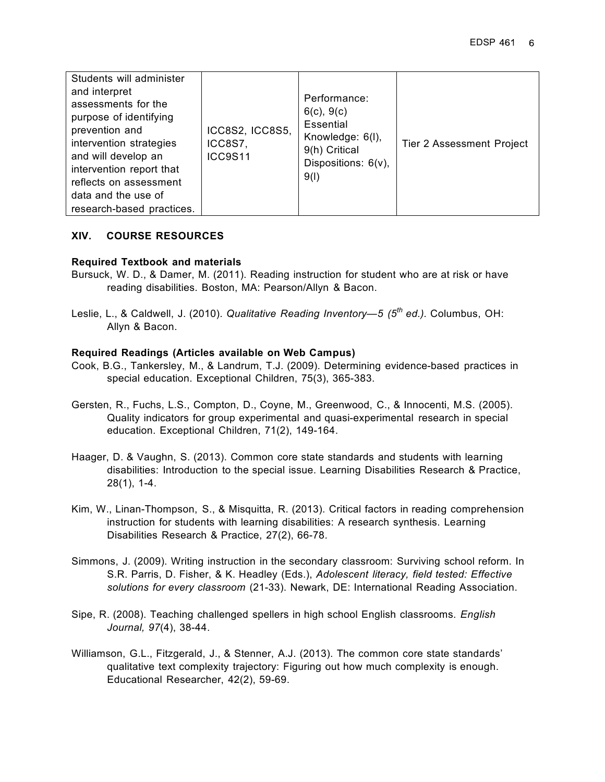| Students will administer<br>and interpret<br>assessments for the<br>purpose of identifying<br>prevention and<br>intervention strategies<br>and will develop an<br>intervention report that<br>reflects on assessment<br>data and the use of<br>research-based practices. | ICC8S2, ICC8S5,<br>ICC8S7,<br><b>ICC9S11</b> | Performance:<br>$6(c)$ , $9(c)$<br>Essential<br>Knowledge: 6(I),<br>9(h) Critical<br>Dispositions: 6(v),<br>9(1) | <b>Tier 2 Assessment Project</b> |
|--------------------------------------------------------------------------------------------------------------------------------------------------------------------------------------------------------------------------------------------------------------------------|----------------------------------------------|------------------------------------------------------------------------------------------------------------------|----------------------------------|
|--------------------------------------------------------------------------------------------------------------------------------------------------------------------------------------------------------------------------------------------------------------------------|----------------------------------------------|------------------------------------------------------------------------------------------------------------------|----------------------------------|

#### **XIV. COURSE RESOURCES**

#### **Required Textbook and materials**

- Bursuck, W. D., & Damer, M. (2011). Reading instruction for student who are at risk or have reading disabilities. Boston, MA: Pearson/Allyn & Bacon.
- Leslie, L., & Caldwell, J. (2010). *Qualitative Reading Inventory—5 (5th ed.).* Columbus, OH: Allyn & Bacon.

#### **Required Readings (Articles available on Web Campus)**

- Cook, B.G., Tankersley, M., & Landrum, T.J. (2009). Determining evidence-based practices in special education. Exceptional Children, 75(3), 365-383.
- Gersten, R., Fuchs, L.S., Compton, D., Coyne, M., Greenwood, C., & Innocenti, M.S. (2005). Quality indicators for group experimental and quasi-experimental research in special education. Exceptional Children, 71(2), 149-164.
- Haager, D. & Vaughn, S. (2013). Common core state standards and students with learning disabilities: Introduction to the special issue. Learning Disabilities Research & Practice, 28(1), 1-4.
- Kim, W., Linan-Thompson, S., & Misquitta, R. (2013). Critical factors in reading comprehension instruction for students with learning disabilities: A research synthesis. Learning Disabilities Research & Practice, 27(2), 66-78.
- Simmons, J. (2009). Writing instruction in the secondary classroom: Surviving school reform. In S.R. Parris, D. Fisher, & K. Headley (Eds.), *Adolescent literacy, field tested: Effective solutions for every classroom* (21-33). Newark, DE: International Reading Association.
- Sipe, R. (2008). Teaching challenged spellers in high school English classrooms. *English Journal, 97*(4), 38-44.
- Williamson, G.L., Fitzgerald, J., & Stenner, A.J. (2013). The common core state standards' qualitative text complexity trajectory: Figuring out how much complexity is enough. Educational Researcher, 42(2), 59-69.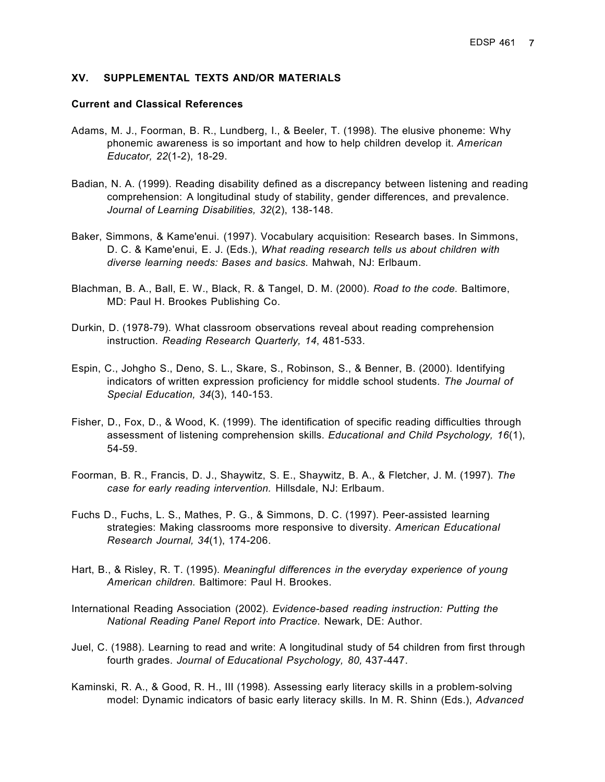#### **XV. SUPPLEMENTAL TEXTS AND/OR MATERIALS**

#### **Current and Classical References**

- Adams, M. J., Foorman, B. R., Lundberg, I., & Beeler, T. (1998). The elusive phoneme: Why phonemic awareness is so important and how to help children develop it. *American Educator, 22*(1-2), 18-29.
- Badian, N. A. (1999). Reading disability defined as a discrepancy between listening and reading comprehension: A longitudinal study of stability, gender differences, and prevalence. *Journal of Learning Disabilities, 32*(2), 138-148.
- Baker, Simmons, & Kame'enui. (1997). Vocabulary acquisition: Research bases. In Simmons, D. C. & Kame'enui, E. J. (Eds.), *What reading research tells us about children with diverse learning needs: Bases and basics.* Mahwah, NJ: Erlbaum.
- Blachman, B. A., Ball, E. W., Black, R. & Tangel, D. M. (2000). *Road to the code.* Baltimore, MD: Paul H. Brookes Publishing Co.
- Durkin, D. (1978-79). What classroom observations reveal about reading comprehension instruction. *Reading Research Quarterly, 14*, 481-533.
- Espin, C., Johgho S., Deno, S. L., Skare, S., Robinson, S., & Benner, B. (2000). Identifying indicators of written expression proficiency for middle school students. *The Journal of Special Education, 34*(3), 140-153.
- Fisher, D., Fox, D., & Wood, K. (1999). The identification of specific reading difficulties through assessment of listening comprehension skills. *Educational and Child Psychology, 16*(1), 54-59.
- Foorman, B. R., Francis, D. J., Shaywitz, S. E., Shaywitz, B. A., & Fletcher, J. M. (1997). *The case for early reading intervention.* Hillsdale, NJ: Erlbaum.
- Fuchs D., Fuchs, L. S., Mathes, P. G., & Simmons, D. C. (1997). Peer-assisted learning strategies: Making classrooms more responsive to diversity. *American Educational Research Journal, 34*(1), 174-206.
- Hart, B., & Risley, R. T. (1995). *Meaningful differences in the everyday experience of young American children.* Baltimore: Paul H. Brookes.
- International Reading Association (2002). *Evidence-based reading instruction: Putting the National Reading Panel Report into Practice*. Newark, DE: Author.
- Juel, C. (1988). Learning to read and write: A longitudinal study of 54 children from first through fourth grades. *Journal of Educational Psychology, 80,* 437-447.
- Kaminski, R. A., & Good, R. H., III (1998). Assessing early literacy skills in a problem-solving model: Dynamic indicators of basic early literacy skills. In M. R. Shinn (Eds.), *Advanced*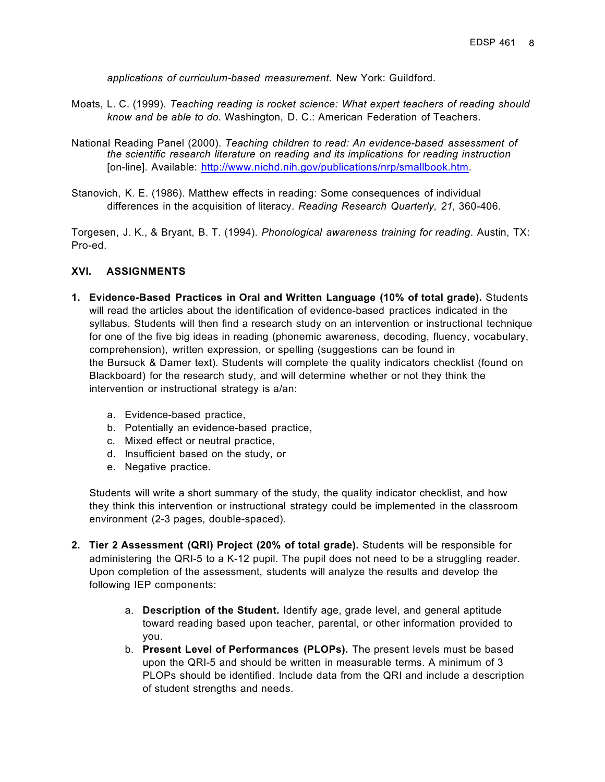*applications of curriculum-based measurement.* New York: Guildford.

- Moats, L. C. (1999). *Teaching reading is rocket science: What expert teachers of reading should know and be able to do.* Washington, D. C.: American Federation of Teachers.
- National Reading Panel (2000). *Teaching children to read: An evidence-based assessment of the scientific research literature on reading and its implications for reading instruction* [on-line]. Available: http://www.nichd.nih.gov/publications/nrp/smallbook.htm.
- Stanovich, K. E. (1986). Matthew effects in reading: Some consequences of individual differences in the acquisition of literacy. *Reading Research Quarterly, 21,* 360-406.

Torgesen, J. K., & Bryant, B. T. (1994). *Phonological awareness training for reading*. Austin, TX: Pro-ed.

#### **XVI. ASSIGNMENTS**

- **1. Evidence-Based Practices in Oral and Written Language (10% of total grade).** Students will read the articles about the identification of evidence-based practices indicated in the syllabus. Students will then find a research study on an intervention or instructional technique for one of the five big ideas in reading (phonemic awareness, decoding, fluency, vocabulary, comprehension), written expression, or spelling (suggestions can be found in the Bursuck & Damer text). Students will complete the quality indicators checklist (found on Blackboard) for the research study, and will determine whether or not they think the intervention or instructional strategy is a/an:
	- a. Evidence-based practice,
	- b. Potentially an evidence-based practice,
	- c. Mixed effect or neutral practice,
	- d. Insufficient based on the study, or
	- e. Negative practice.

Students will write a short summary of the study, the quality indicator checklist, and how they think this intervention or instructional strategy could be implemented in the classroom environment (2-3 pages, double-spaced).

- **2. Tier 2 Assessment (QRI) Project (20% of total grade).** Students will be responsible for administering the QRI-5 to a K-12 pupil. The pupil does not need to be a struggling reader. Upon completion of the assessment, students will analyze the results and develop the following IEP components:
	- a. **Description of the Student.** Identify age, grade level, and general aptitude toward reading based upon teacher, parental, or other information provided to you.
	- b. **Present Level of Performances (PLOPs).** The present levels must be based upon the QRI-5 and should be written in measurable terms. A minimum of 3 PLOPs should be identified. Include data from the QRI and include a description of student strengths and needs.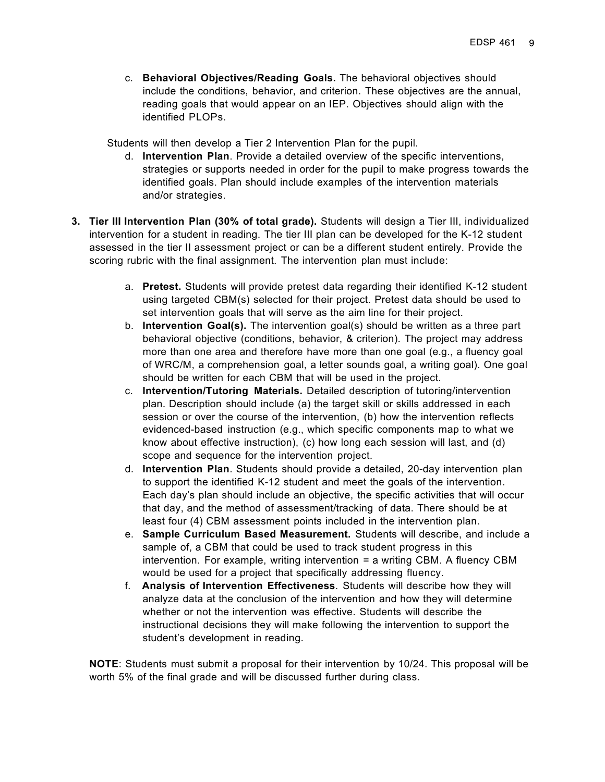c. **Behavioral Objectives/Reading Goals.** The behavioral objectives should include the conditions, behavior, and criterion. These objectives are the annual, reading goals that would appear on an IEP. Objectives should align with the identified PLOPs.

Students will then develop a Tier 2 Intervention Plan for the pupil.

- d. **Intervention Plan**. Provide a detailed overview of the specific interventions, strategies or supports needed in order for the pupil to make progress towards the identified goals. Plan should include examples of the intervention materials and/or strategies.
- **3. Tier III Intervention Plan (30% of total grade).** Students will design a Tier III, individualized intervention for a student in reading. The tier III plan can be developed for the K-12 student assessed in the tier II assessment project or can be a different student entirely. Provide the scoring rubric with the final assignment. The intervention plan must include:
	- a. **Pretest.** Students will provide pretest data regarding their identified K-12 student using targeted CBM(s) selected for their project. Pretest data should be used to set intervention goals that will serve as the aim line for their project.
	- b. **Intervention Goal(s).** The intervention goal(s) should be written as a three part behavioral objective (conditions, behavior, & criterion). The project may address more than one area and therefore have more than one goal (e.g., a fluency goal of WRC/M, a comprehension goal, a letter sounds goal, a writing goal). One goal should be written for each CBM that will be used in the project.
	- c. **Intervention/Tutoring Materials.** Detailed description of tutoring/intervention plan. Description should include (a) the target skill or skills addressed in each session or over the course of the intervention, (b) how the intervention reflects evidenced-based instruction (e.g., which specific components map to what we know about effective instruction), (c) how long each session will last, and (d) scope and sequence for the intervention project.
	- d. **Intervention Plan**. Students should provide a detailed, 20-day intervention plan to support the identified K-12 student and meet the goals of the intervention. Each day's plan should include an objective, the specific activities that will occur that day, and the method of assessment/tracking of data. There should be at least four (4) CBM assessment points included in the intervention plan.
	- e. **Sample Curriculum Based Measurement.** Students will describe, and include a sample of, a CBM that could be used to track student progress in this intervention. For example, writing intervention = a writing CBM. A fluency CBM would be used for a project that specifically addressing fluency.
	- f. **Analysis of Intervention Effectiveness**. Students will describe how they will analyze data at the conclusion of the intervention and how they will determine whether or not the intervention was effective. Students will describe the instructional decisions they will make following the intervention to support the student's development in reading.

**NOTE**: Students must submit a proposal for their intervention by 10/24. This proposal will be worth 5% of the final grade and will be discussed further during class.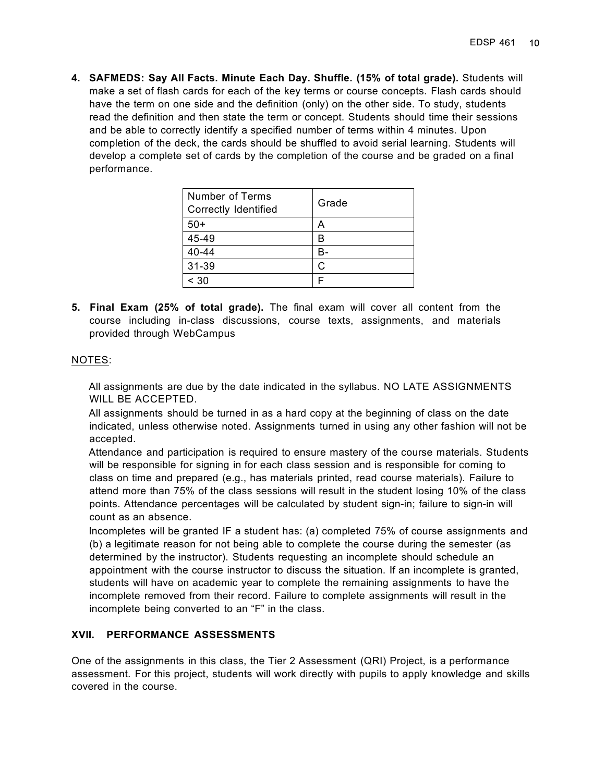**4. SAFMEDS: Say All Facts. Minute Each Day. Shuffle. (15% of total grade).** Students will make a set of flash cards for each of the key terms or course concepts. Flash cards should have the term on one side and the definition (only) on the other side. To study, students read the definition and then state the term or concept. Students should time their sessions and be able to correctly identify a specified number of terms within 4 minutes. Upon completion of the deck, the cards should be shuffled to avoid serial learning. Students will develop a complete set of cards by the completion of the course and be graded on a final performance.

| <b>Number of Terms</b><br>Correctly Identified | Grade |
|------------------------------------------------|-------|
| $50+$                                          |       |
| 45-49                                          |       |
| 40-44                                          |       |
| 31-39                                          |       |
| < 30                                           |       |

**5. Final Exam (25% of total grade).** The final exam will cover all content from the course including in-class discussions, course texts, assignments, and materials provided through WebCampus

#### NOTES:

 All assignments are due by the date indicated in the syllabus. NO LATE ASSIGNMENTS WILL BE ACCEPTED.

 All assignments should be turned in as a hard copy at the beginning of class on the date indicated, unless otherwise noted. Assignments turned in using any other fashion will not be accepted.

 Attendance and participation is required to ensure mastery of the course materials. Students will be responsible for signing in for each class session and is responsible for coming to class on time and prepared (e.g., has materials printed, read course materials). Failure to attend more than 75% of the class sessions will result in the student losing 10% of the class points. Attendance percentages will be calculated by student sign-in; failure to sign-in will count as an absence.

 Incompletes will be granted IF a student has: (a) completed 75% of course assignments and (b) a legitimate reason for not being able to complete the course during the semester (as determined by the instructor). Students requesting an incomplete should schedule an appointment with the course instructor to discuss the situation. If an incomplete is granted, students will have on academic year to complete the remaining assignments to have the incomplete removed from their record. Failure to complete assignments will result in the incomplete being converted to an "F" in the class.

### **XVII. PERFORMANCE ASSESSMENTS**

One of the assignments in this class, the Tier 2 Assessment (QRI) Project, is a performance assessment. For this project, students will work directly with pupils to apply knowledge and skills covered in the course.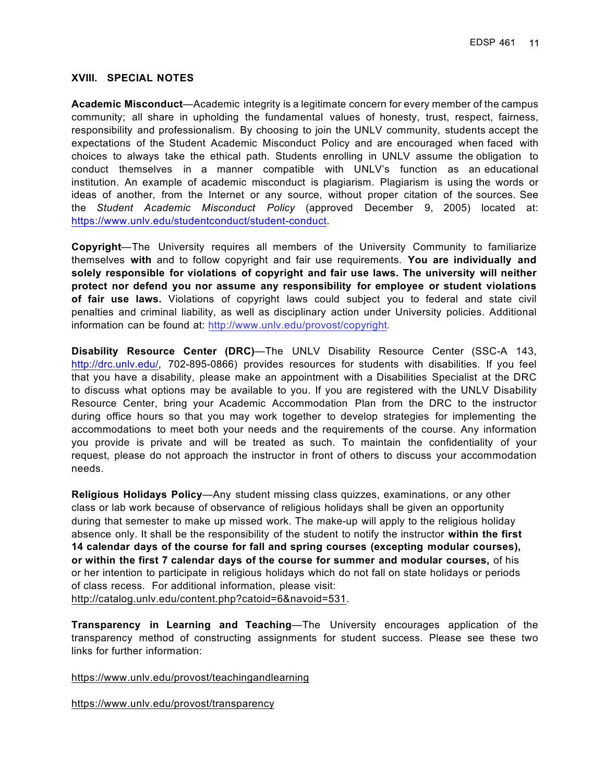#### **XVIII. SPECIAL NOTES**

**Academic Misconduct**—Academic integrity is a legitimate concern for every member of the campus community; all share in upholding the fundamental values of honesty, trust, respect, fairness, responsibility and professionalism. By choosing to join the UNLV community, students accept the expectations of the Student Academic Misconduct Policy and are encouraged when faced with choices to always take the ethical path. Students enrolling in UNLV assume the obligation to conduct themselves in a manner compatible with UNLV's function as an educational institution. An example of academic misconduct is plagiarism. Plagiarism is using the words or ideas of another, from the Internet or any source, without proper citation of the sources. See the *Student Academic Misconduct Policy* (approved December 9, 2005) located at: https://www.unlv.edu/studentconduct/student-conduct.

**Copyright**—The University requires all members of the University Community to familiarize themselves **with** and to follow copyright and fair use requirements. **You are individually and solely responsible for violations of copyright and fair use laws. The university will neither protect nor defend you nor assume any responsibility for employee or student violations of fair use laws.** Violations of copyright laws could subject you to federal and state civil penalties and criminal liability, as well as disciplinary action under University policies. Additional information can be found at: http://www.unlv.edu/provost/copyright.

**Disability Resource Center (DRC)**—The UNLV Disability Resource Center (SSC-A 143, http://drc.unlv.edu/, 702-895-0866) provides resources for students with disabilities. If you feel that you have a disability, please make an appointment with a Disabilities Specialist at the DRC to discuss what options may be available to you. If you are registered with the UNLV Disability Resource Center, bring your Academic Accommodation Plan from the DRC to the instructor during office hours so that you may work together to develop strategies for implementing the accommodations to meet both your needs and the requirements of the course. Any information you provide is private and will be treated as such. To maintain the confidentiality of your request, please do not approach the instructor in front of others to discuss your accommodation needs.

**Religious Holidays Policy**—Any student missing class quizzes, examinations, or any other class or lab work because of observance of religious holidays shall be given an opportunity during that semester to make up missed work. The make-up will apply to the religious holiday absence only. It shall be the responsibility of the student to notify the instructor **within the first 14 calendar days of the course for fall and spring courses (excepting modular courses), or within the first 7 calendar days of the course for summer and modular courses,** of his or her intention to participate in religious holidays which do not fall on state holidays or periods of class recess. For additional information, please visit:

http://catalog.unlv.edu/content.php?catoid=6&navoid=531.

**Transparency in Learning and Teaching**—The University encourages application of the transparency method of constructing assignments for student success. Please see these two links for further information:

https://www.unlv.edu/provost/teachingandlearning

https://www.unlv.edu/provost/transparency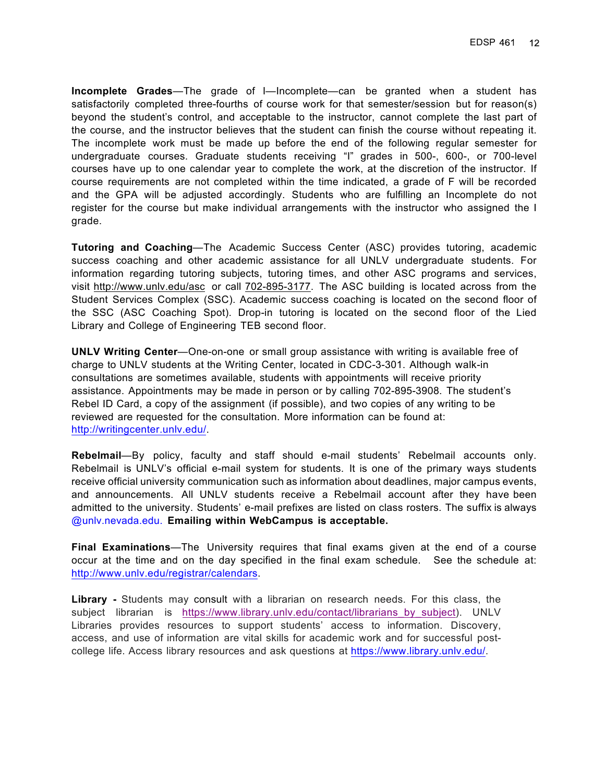**Incomplete Grades**—The grade of I—Incomplete—can be granted when a student has satisfactorily completed three-fourths of course work for that semester/session but for reason(s) beyond the student's control, and acceptable to the instructor, cannot complete the last part of the course, and the instructor believes that the student can finish the course without repeating it. The incomplete work must be made up before the end of the following regular semester for undergraduate courses. Graduate students receiving "I" grades in 500-, 600-, or 700-level courses have up to one calendar year to complete the work, at the discretion of the instructor. If course requirements are not completed within the time indicated, a grade of F will be recorded and the GPA will be adjusted accordingly. Students who are fulfilling an Incomplete do not register for the course but make individual arrangements with the instructor who assigned the I grade.

**Tutoring and Coaching**—The Academic Success Center (ASC) provides tutoring, academic success coaching and other academic assistance for all UNLV undergraduate students. For information regarding tutoring subjects, tutoring times, and other ASC programs and services, visit http://www.unlv.edu/asc or call 702-895-3177. The ASC building is located across from the Student Services Complex (SSC). Academic success coaching is located on the second floor of the SSC (ASC Coaching Spot). Drop-in tutoring is located on the second floor of the Lied Library and College of Engineering TEB second floor.

**UNLV Writing Center**—One-on-one or small group assistance with writing is available free of charge to UNLV students at the Writing Center, located in CDC-3-301. Although walk-in consultations are sometimes available, students with appointments will receive priority assistance. Appointments may be made in person or by calling 702-895-3908. The student's Rebel ID Card, a copy of the assignment (if possible), and two copies of any writing to be reviewed are requested for the consultation. More information can be found at: http://writingcenter.unlv.edu/.

**Rebelmail**—By policy, faculty and staff should e-mail students' Rebelmail accounts only. Rebelmail is UNLV's official e-mail system for students. It is one of the primary ways students receive official university communication such as information about deadlines, major campus events, and announcements. All UNLV students receive a Rebelmail account after they have been admitted to the university. Students' e-mail prefixes are listed on class rosters. The suffix is always @unlv.nevada.edu. **Emailing within WebCampus is acceptable.**

**Final Examinations**—The University requires that final exams given at the end of a course occur at the time and on the day specified in the final exam schedule. See the schedule at: http://www.unlv.edu/registrar/calendars.

**Library -** Students may consult with a librarian on research needs. For this class, the subject librarian is https://www.library.unlv.edu/contact/librarians by subject). UNLV Libraries provides resources to support students' access to information. Discovery, access, and use of information are vital skills for academic work and for successful postcollege life. Access library resources and ask questions at https://www.library.unlv.edu/.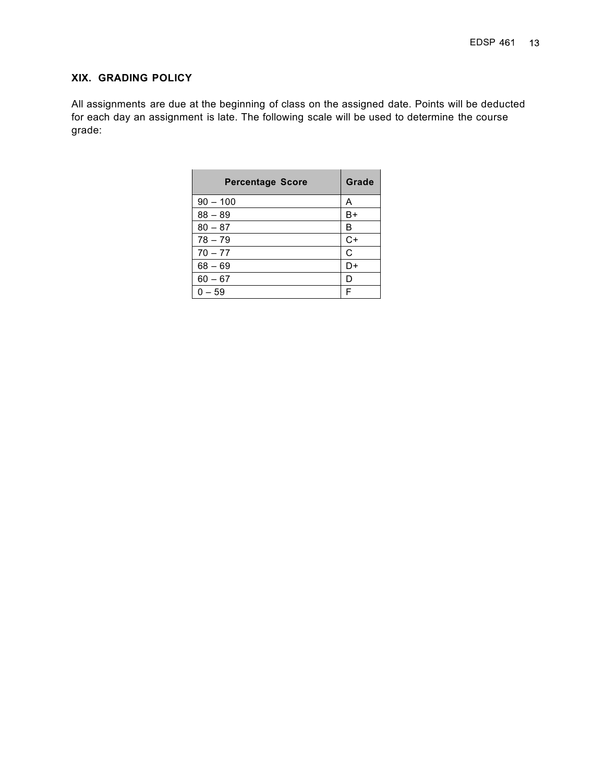## **XIX. GRADING POLICY**

All assignments are due at the beginning of class on the assigned date. Points will be deducted for each day an assignment is late. The following scale will be used to determine the course grade:

| <b>Percentage Score</b> | Grade |
|-------------------------|-------|
| $90 - 100$              | Α     |
| $88 - 89$               | B+    |
| $80 - 87$               | B     |
| $78 - 79$               | $C+$  |
| $70 - 77$               | C     |
| $68 - 69$               | D+    |
| $60 - 67$               | D     |
| $0 - 59$                | F     |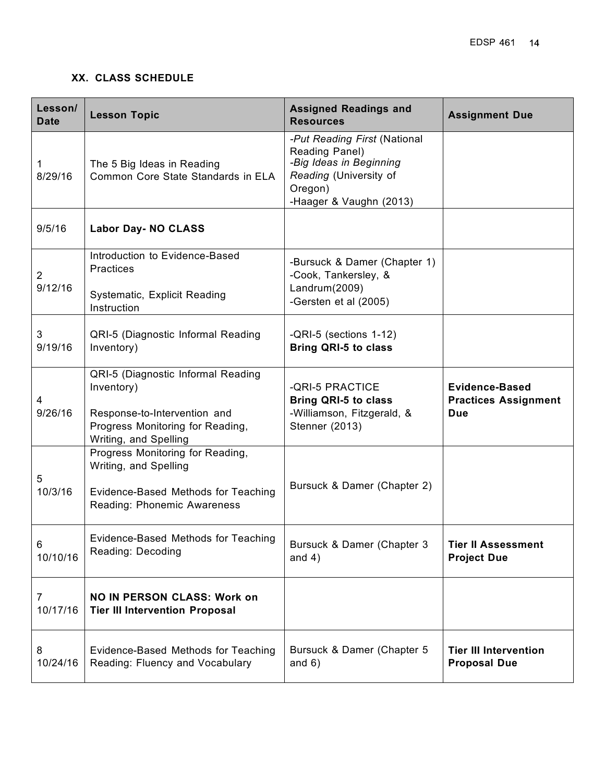## **XX. CLASS SCHEDULE**

| Lesson/<br><b>Date</b> | <b>Lesson Topic</b>                                                                                                                           | <b>Assigned Readings and</b><br><b>Resources</b>                                                                                          | <b>Assignment Due</b>                                              |
|------------------------|-----------------------------------------------------------------------------------------------------------------------------------------------|-------------------------------------------------------------------------------------------------------------------------------------------|--------------------------------------------------------------------|
| 1<br>8/29/16           | The 5 Big Ideas in Reading<br>Common Core State Standards in ELA                                                                              | -Put Reading First (National<br>Reading Panel)<br>-Big Ideas in Beginning<br>Reading (University of<br>Oregon)<br>-Haager & Vaughn (2013) |                                                                    |
| 9/5/16                 | <b>Labor Day- NO CLASS</b>                                                                                                                    |                                                                                                                                           |                                                                    |
| 2<br>9/12/16           | Introduction to Evidence-Based<br><b>Practices</b><br>Systematic, Explicit Reading<br>Instruction                                             | -Bursuck & Damer (Chapter 1)<br>-Cook, Tankersley, &<br>Landrum(2009)<br>-Gersten et al (2005)                                            |                                                                    |
| 3<br>9/19/16           | QRI-5 (Diagnostic Informal Reading<br>Inventory)                                                                                              | -QRI-5 (sections 1-12)<br><b>Bring QRI-5 to class</b>                                                                                     |                                                                    |
| 4<br>9/26/16           | QRI-5 (Diagnostic Informal Reading<br>Inventory)<br>Response-to-Intervention and<br>Progress Monitoring for Reading,<br>Writing, and Spelling | -QRI-5 PRACTICE<br><b>Bring QRI-5 to class</b><br>-Williamson, Fitzgerald, &<br>Stenner (2013)                                            | <b>Evidence-Based</b><br><b>Practices Assignment</b><br><b>Due</b> |
| 5<br>10/3/16           | Progress Monitoring for Reading,<br>Writing, and Spelling<br>Evidence-Based Methods for Teaching<br>Reading: Phonemic Awareness               | Bursuck & Damer (Chapter 2)                                                                                                               |                                                                    |
| 6<br>10/10/16          | Evidence-Based Methods for Teaching<br>Reading: Decoding                                                                                      | Bursuck & Damer (Chapter 3<br>and $4)$                                                                                                    | <b>Tier II Assessment</b><br><b>Project Due</b>                    |
| 7<br>10/17/16          | <b>NO IN PERSON CLASS: Work on</b><br><b>Tier III Intervention Proposal</b>                                                                   |                                                                                                                                           |                                                                    |
| 8<br>10/24/16          | Evidence-Based Methods for Teaching<br>Reading: Fluency and Vocabulary                                                                        | Bursuck & Damer (Chapter 5<br>and $6)$                                                                                                    | <b>Tier III Intervention</b><br><b>Proposal Due</b>                |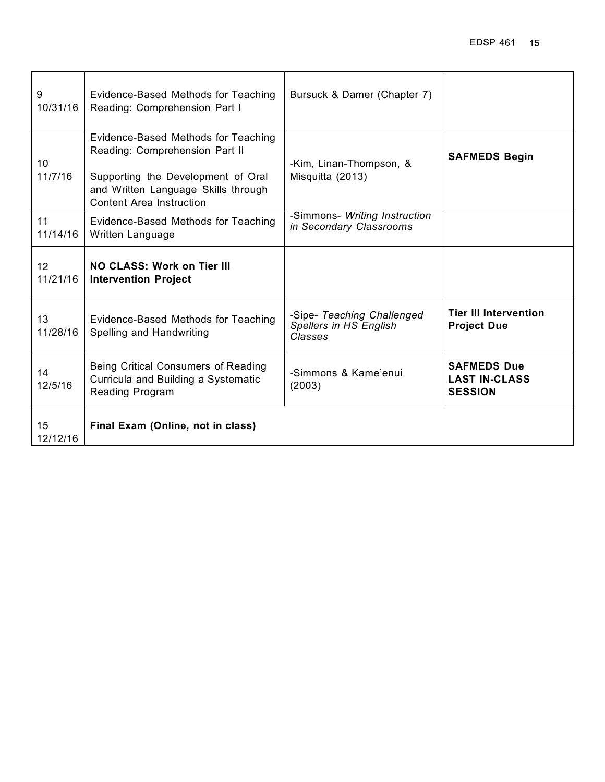| 9<br>10/31/16  | Evidence-Based Methods for Teaching<br>Reading: Comprehension Part I                                                                                                                  | Bursuck & Damer (Chapter 7)                                     |                                                              |
|----------------|---------------------------------------------------------------------------------------------------------------------------------------------------------------------------------------|-----------------------------------------------------------------|--------------------------------------------------------------|
| 10<br>11/7/16  | Evidence-Based Methods for Teaching<br>Reading: Comprehension Part II<br>Supporting the Development of Oral<br>and Written Language Skills through<br><b>Content Area Instruction</b> | -Kim, Linan-Thompson, &<br>Misquitta (2013)                     | <b>SAFMEDS Begin</b>                                         |
| 11<br>11/14/16 | Evidence-Based Methods for Teaching<br>Written Language                                                                                                                               | -Simmons- Writing Instruction<br>in Secondary Classrooms        |                                                              |
| 12<br>11/21/16 | NO CLASS: Work on Tier III<br><b>Intervention Project</b>                                                                                                                             |                                                                 |                                                              |
| 13<br>11/28/16 | Evidence-Based Methods for Teaching<br>Spelling and Handwriting                                                                                                                       | -Sipe- Teaching Challenged<br>Spellers in HS English<br>Classes | <b>Tier III Intervention</b><br><b>Project Due</b>           |
| 14<br>12/5/16  | Being Critical Consumers of Reading<br>Curricula and Building a Systematic<br><b>Reading Program</b>                                                                                  | -Simmons & Kame'enui<br>(2003)                                  | <b>SAFMEDS Due</b><br><b>LAST IN-CLASS</b><br><b>SESSION</b> |
| 15<br>12/12/16 | Final Exam (Online, not in class)                                                                                                                                                     |                                                                 |                                                              |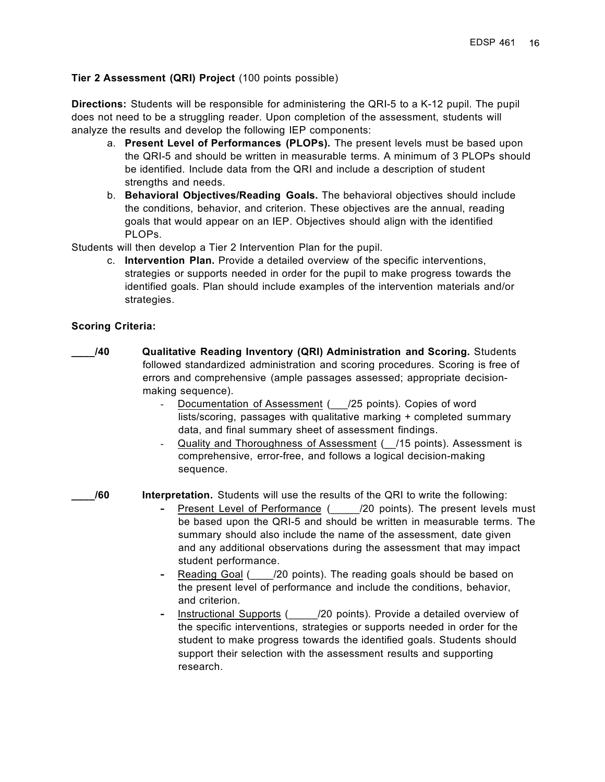### **Tier 2 Assessment (QRI) Project** (100 points possible)

**Directions:** Students will be responsible for administering the QRI-5 to a K-12 pupil. The pupil does not need to be a struggling reader. Upon completion of the assessment, students will analyze the results and develop the following IEP components:

- a. **Present Level of Performances (PLOPs).** The present levels must be based upon the QRI-5 and should be written in measurable terms. A minimum of 3 PLOPs should be identified. Include data from the QRI and include a description of student strengths and needs.
- b. **Behavioral Objectives/Reading Goals.** The behavioral objectives should include the conditions, behavior, and criterion. These objectives are the annual, reading goals that would appear on an IEP. Objectives should align with the identified PLOPs.

Students will then develop a Tier 2 Intervention Plan for the pupil.

c. **Intervention Plan.** Provide a detailed overview of the specific interventions, strategies or supports needed in order for the pupil to make progress towards the identified goals. Plan should include examples of the intervention materials and/or strategies.

#### **Scoring Criteria:**

- **\_\_\_\_/40 Qualitative Reading Inventory (QRI) Administration and Scoring.** Students followed standardized administration and scoring procedures. Scoring is free of errors and comprehensive (ample passages assessed; appropriate decisionmaking sequence).
	- Documentation of Assessment ( /25 points). Copies of word lists/scoring, passages with qualitative marking + completed summary data, and final summary sheet of assessment findings.
	- Quality and Thoroughness of Assessment (2015 points). Assessment is comprehensive, error-free, and follows a logical decision-making sequence.

**\_\_\_\_/60 Interpretation.** Students will use the results of the QRI to write the following:

- **Present Level of Performance (20 points). The present levels must** be based upon the QRI-5 and should be written in measurable terms. The summary should also include the name of the assessment, date given and any additional observations during the assessment that may impact student performance.
- **-** Reading Goal (\_\_\_\_/20 points). The reading goals should be based on the present level of performance and include the conditions, behavior, and criterion.
- **-** Instructional Supports (\_\_\_\_\_/20 points). Provide a detailed overview of the specific interventions, strategies or supports needed in order for the student to make progress towards the identified goals. Students should support their selection with the assessment results and supporting research.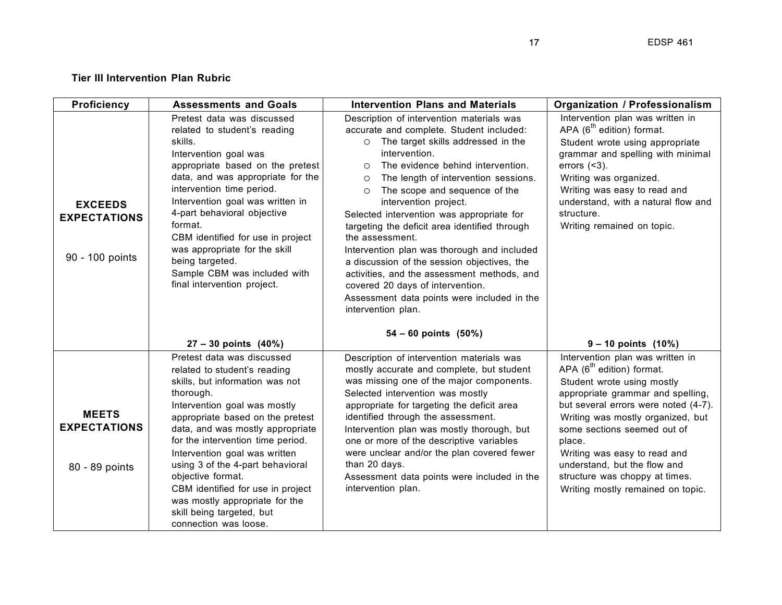## **Tier III Intervention Plan Rubric**

| <b>Proficiency</b>                                       | <b>Assessments and Goals</b>                                                                                                                                                                                                                                                                                                                                                                                                                                                   | <b>Intervention Plans and Materials</b>                                                                                                                                                                                                                                                                                                                                                                                                                                                                                                                                                                                                                                                                | <b>Organization / Professionalism</b>                                                                                                                                                                                                                                                                                                                                                                     |
|----------------------------------------------------------|--------------------------------------------------------------------------------------------------------------------------------------------------------------------------------------------------------------------------------------------------------------------------------------------------------------------------------------------------------------------------------------------------------------------------------------------------------------------------------|--------------------------------------------------------------------------------------------------------------------------------------------------------------------------------------------------------------------------------------------------------------------------------------------------------------------------------------------------------------------------------------------------------------------------------------------------------------------------------------------------------------------------------------------------------------------------------------------------------------------------------------------------------------------------------------------------------|-----------------------------------------------------------------------------------------------------------------------------------------------------------------------------------------------------------------------------------------------------------------------------------------------------------------------------------------------------------------------------------------------------------|
| <b>EXCEEDS</b><br><b>EXPECTATIONS</b><br>90 - 100 points | Pretest data was discussed<br>related to student's reading<br>skills.<br>Intervention goal was<br>appropriate based on the pretest<br>data, and was appropriate for the<br>intervention time period.<br>Intervention goal was written in<br>4-part behavioral objective<br>format.<br>CBM identified for use in project<br>was appropriate for the skill<br>being targeted.<br>Sample CBM was included with<br>final intervention project.                                     | Description of intervention materials was<br>accurate and complete. Student included:<br>The target skills addressed in the<br>$\circ$<br>intervention.<br>The evidence behind intervention.<br>$\circ$<br>The length of intervention sessions.<br>$\circ$<br>The scope and sequence of the<br>$\circ$<br>intervention project.<br>Selected intervention was appropriate for<br>targeting the deficit area identified through<br>the assessment.<br>Intervention plan was thorough and included<br>a discussion of the session objectives, the<br>activities, and the assessment methods, and<br>covered 20 days of intervention.<br>Assessment data points were included in the<br>intervention plan. | Intervention plan was written in<br>APA $(6^{th}$ edition) format.<br>Student wrote using appropriate<br>grammar and spelling with minimal<br>errors $($ $3$ ).<br>Writing was organized.<br>Writing was easy to read and<br>understand, with a natural flow and<br>structure.<br>Writing remained on topic.                                                                                              |
|                                                          | $27 - 30$ points $(40%)$                                                                                                                                                                                                                                                                                                                                                                                                                                                       | $54 - 60$ points $(50\%)$                                                                                                                                                                                                                                                                                                                                                                                                                                                                                                                                                                                                                                                                              | $9 - 10$ points $(10%)$                                                                                                                                                                                                                                                                                                                                                                                   |
| <b>MEETS</b><br><b>EXPECTATIONS</b><br>80 - 89 points    | Pretest data was discussed<br>related to student's reading<br>skills, but information was not<br>thorough.<br>Intervention goal was mostly<br>appropriate based on the pretest<br>data, and was mostly appropriate<br>for the intervention time period.<br>Intervention goal was written<br>using 3 of the 4-part behavioral<br>objective format.<br>CBM identified for use in project<br>was mostly appropriate for the<br>skill being targeted, but<br>connection was loose. | Description of intervention materials was<br>mostly accurate and complete, but student<br>was missing one of the major components.<br>Selected intervention was mostly<br>appropriate for targeting the deficit area<br>identified through the assessment.<br>Intervention plan was mostly thorough, but<br>one or more of the descriptive variables<br>were unclear and/or the plan covered fewer<br>than 20 days.<br>Assessment data points were included in the<br>intervention plan.                                                                                                                                                                                                               | Intervention plan was written in<br>APA (6 <sup>th</sup> edition) format.<br>Student wrote using mostly<br>appropriate grammar and spelling,<br>but several errors were noted (4-7).<br>Writing was mostly organized, but<br>some sections seemed out of<br>place.<br>Writing was easy to read and<br>understand, but the flow and<br>structure was choppy at times.<br>Writing mostly remained on topic. |

 $17$